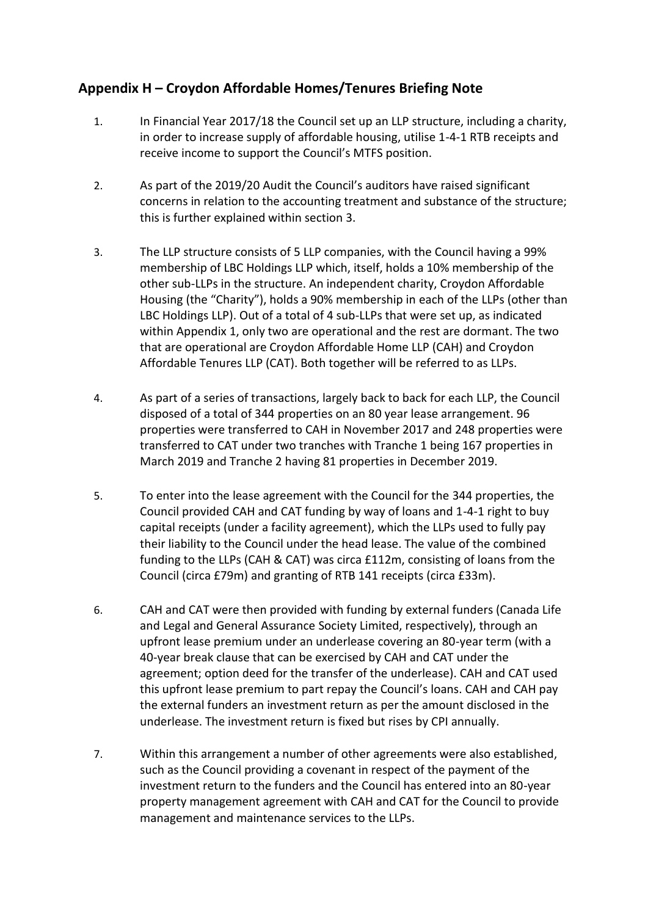## **Appendix H – Croydon Affordable Homes/Tenures Briefing Note**

- 1. In Financial Year 2017/18 the Council set up an LLP structure, including a charity, in order to increase supply of affordable housing, utilise 1-4-1 RTB receipts and receive income to support the Council's MTFS position.
- 2. As part of the 2019/20 Audit the Council's auditors have raised significant concerns in relation to the accounting treatment and substance of the structure; this is further explained within section 3.
- 3. The LLP structure consists of 5 LLP companies, with the Council having a 99% membership of LBC Holdings LLP which, itself, holds a 10% membership of the other sub-LLPs in the structure. An independent charity, Croydon Affordable Housing (the "Charity"), holds a 90% membership in each of the LLPs (other than LBC Holdings LLP). Out of a total of 4 sub-LLPs that were set up, as indicated within Appendix 1, only two are operational and the rest are dormant. The two that are operational are Croydon Affordable Home LLP (CAH) and Croydon Affordable Tenures LLP (CAT). Both together will be referred to as LLPs.
- 4. As part of a series of transactions, largely back to back for each LLP, the Council disposed of a total of 344 properties on an 80 year lease arrangement. 96 properties were transferred to CAH in November 2017 and 248 properties were transferred to CAT under two tranches with Tranche 1 being 167 properties in March 2019 and Tranche 2 having 81 properties in December 2019.
- 5. To enter into the lease agreement with the Council for the 344 properties, the Council provided CAH and CAT funding by way of loans and 1-4-1 right to buy capital receipts (under a facility agreement), which the LLPs used to fully pay their liability to the Council under the head lease. The value of the combined funding to the LLPs (CAH & CAT) was circa £112m, consisting of loans from the Council (circa £79m) and granting of RTB 141 receipts (circa £33m).
- 6. CAH and CAT were then provided with funding by external funders (Canada Life and Legal and General Assurance Society Limited, respectively), through an upfront lease premium under an underlease covering an 80-year term (with a 40-year break clause that can be exercised by CAH and CAT under the agreement; option deed for the transfer of the underlease). CAH and CAT used this upfront lease premium to part repay the Council's loans. CAH and CAH pay the external funders an investment return as per the amount disclosed in the underlease. The investment return is fixed but rises by CPI annually.
- 7. Within this arrangement a number of other agreements were also established, such as the Council providing a covenant in respect of the payment of the investment return to the funders and the Council has entered into an 80-year property management agreement with CAH and CAT for the Council to provide management and maintenance services to the LLPs.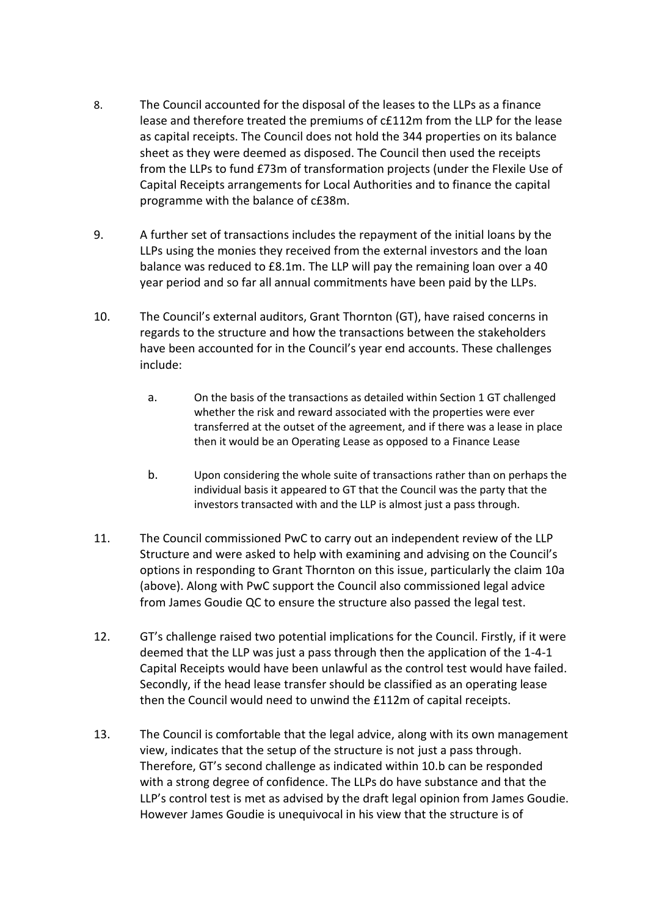- 8. The Council accounted for the disposal of the leases to the LLPs as a finance lease and therefore treated the premiums of c£112m from the LLP for the lease as capital receipts. The Council does not hold the 344 properties on its balance sheet as they were deemed as disposed. The Council then used the receipts from the LLPs to fund £73m of transformation projects (under the Flexile Use of Capital Receipts arrangements for Local Authorities and to finance the capital programme with the balance of c£38m.
- 9. A further set of transactions includes the repayment of the initial loans by the LLPs using the monies they received from the external investors and the loan balance was reduced to £8.1m. The LLP will pay the remaining loan over a 40 year period and so far all annual commitments have been paid by the LLPs.
- 10. The Council's external auditors, Grant Thornton (GT), have raised concerns in regards to the structure and how the transactions between the stakeholders have been accounted for in the Council's year end accounts. These challenges include:
	- a. On the basis of the transactions as detailed within Section 1 GT challenged whether the risk and reward associated with the properties were ever transferred at the outset of the agreement, and if there was a lease in place then it would be an Operating Lease as opposed to a Finance Lease
	- b. Upon considering the whole suite of transactions rather than on perhaps the individual basis it appeared to GT that the Council was the party that the investors transacted with and the LLP is almost just a pass through.
- 11. The Council commissioned PwC to carry out an independent review of the LLP Structure and were asked to help with examining and advising on the Council's options in responding to Grant Thornton on this issue, particularly the claim 10a (above). Along with PwC support the Council also commissioned legal advice from James Goudie QC to ensure the structure also passed the legal test.
- 12. GT's challenge raised two potential implications for the Council. Firstly, if it were deemed that the LLP was just a pass through then the application of the 1-4-1 Capital Receipts would have been unlawful as the control test would have failed. Secondly, if the head lease transfer should be classified as an operating lease then the Council would need to unwind the £112m of capital receipts.
- 13. The Council is comfortable that the legal advice, along with its own management view, indicates that the setup of the structure is not just a pass through. Therefore, GT's second challenge as indicated within 10.b can be responded with a strong degree of confidence. The LLPs do have substance and that the LLP's control test is met as advised by the draft legal opinion from James Goudie. However James Goudie is unequivocal in his view that the structure is of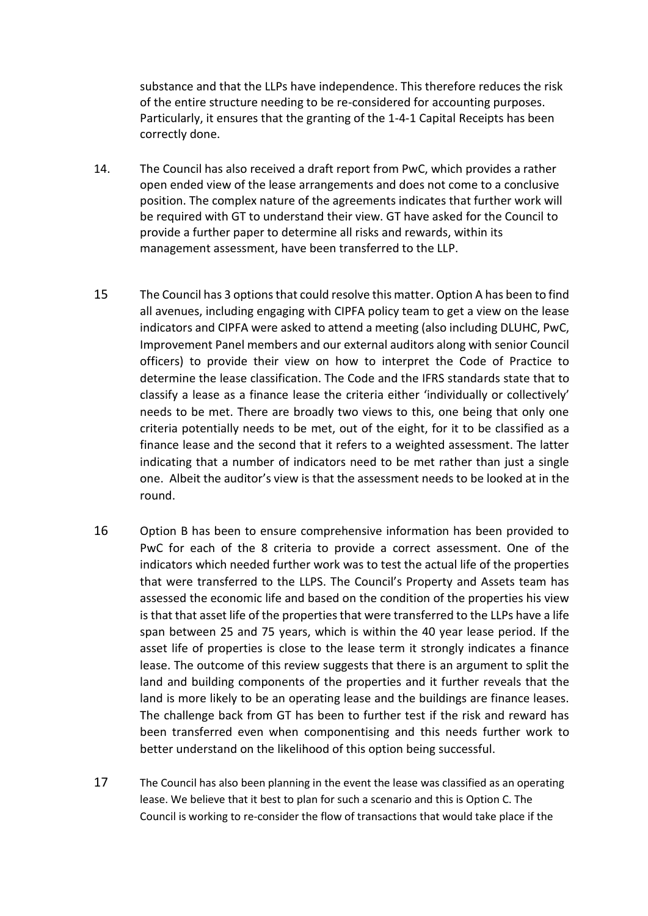substance and that the LLPs have independence. This therefore reduces the risk of the entire structure needing to be re-considered for accounting purposes. Particularly, it ensures that the granting of the 1-4-1 Capital Receipts has been correctly done.

- 14. The Council has also received a draft report from PwC, which provides a rather open ended view of the lease arrangements and does not come to a conclusive position. The complex nature of the agreements indicates that further work will be required with GT to understand their view. GT have asked for the Council to provide a further paper to determine all risks and rewards, within its management assessment, have been transferred to the LLP.
- 15 The Council has 3 options that could resolve this matter. Option A has been to find all avenues, including engaging with CIPFA policy team to get a view on the lease indicators and CIPFA were asked to attend a meeting (also including DLUHC, PwC, Improvement Panel members and our external auditors along with senior Council officers) to provide their view on how to interpret the Code of Practice to determine the lease classification. The Code and the IFRS standards state that to classify a lease as a finance lease the criteria either 'individually or collectively' needs to be met. There are broadly two views to this, one being that only one criteria potentially needs to be met, out of the eight, for it to be classified as a finance lease and the second that it refers to a weighted assessment. The latter indicating that a number of indicators need to be met rather than just a single one. Albeit the auditor's view is that the assessment needs to be looked at in the round.
- 16 Option B has been to ensure comprehensive information has been provided to PwC for each of the 8 criteria to provide a correct assessment. One of the indicators which needed further work was to test the actual life of the properties that were transferred to the LLPS. The Council's Property and Assets team has assessed the economic life and based on the condition of the properties his view is that that asset life of the properties that were transferred to the LLPs have a life span between 25 and 75 years, which is within the 40 year lease period. If the asset life of properties is close to the lease term it strongly indicates a finance lease. The outcome of this review suggests that there is an argument to split the land and building components of the properties and it further reveals that the land is more likely to be an operating lease and the buildings are finance leases. The challenge back from GT has been to further test if the risk and reward has been transferred even when componentising and this needs further work to better understand on the likelihood of this option being successful.
- 17 The Council has also been planning in the event the lease was classified as an operating lease. We believe that it best to plan for such a scenario and this is Option C. The Council is working to re-consider the flow of transactions that would take place if the